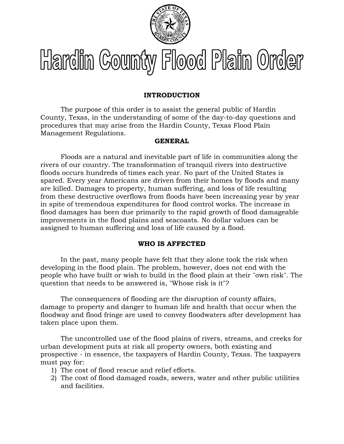

# Hardin County Flood Plain Order

# **INTRODUCTION**

The purpose of this order is to assist the general public of Hardin County, Texas, in the understanding of some of the day-to-day questions and procedures that may arise from the Hardin County, Texas Flood Plain Management Regulations.

# **GENERAL**

Floods are a natural and inevitable part of life in communities along the rivers of our country. The transformation of tranquil rivers into destructive floods occurs hundreds of times each year. No part of the United States is spared. Every year Americans are driven from their homes by floods and many are killed. Damages to property, human suffering, and loss of life resulting from these destructive overflows from floods have been increasing year by year in spite of tremendous expenditures for flood control works. The increase in flood damages has been due primarily to the rapid growth of flood damageable improvements in the flood plains and seacoasts. No dollar values can be assigned to human suffering and loss of life caused by a flood.

# **WHO IS AFFECTED**

In the past, many people have felt that they alone took the risk when developing in the flood plain. The problem, however, does not end with the people who have built or wish to build in the flood plain at their "own risk". The question that needs to be answered is, "Whose risk is it"?

The consequences of flooding are the disruption of county affairs, damage to property and danger to human life and health that occur when the floodway and flood fringe are used to convey floodwaters after development has taken place upon them.

The uncontrolled use of the flood plains of rivers, streams, and creeks for urban development puts at risk all property owners, both existing and prospective - in essence, the taxpayers of Hardin County, Texas. The taxpayers must pay for:

- 1) The cost of flood rescue and relief efforts.
- 2) The cost of flood damaged roads, sewers, water and other public utilities and facilities.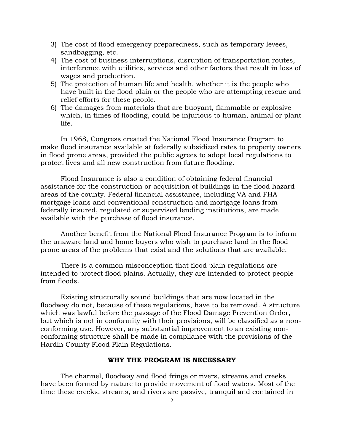- 3) The cost of flood emergency preparedness, such as temporary levees, sandbagging, etc.
- 4) The cost of business interruptions, disruption of transportation routes, interference with utilities, services and other factors that result in loss of wages and production.
- 5) The protection of human life and health, whether it is the people who have built in the flood plain or the people who are attempting rescue and relief efforts for these people.
- 6) The damages from materials that are buoyant, flammable or explosive which, in times of flooding, could be injurious to human, animal or plant life.

In 1968, Congress created the National Flood Insurance Program to make flood insurance available at federally subsidized rates to property owners in flood prone areas, provided the public agrees to adopt local regulations to protect lives and all new construction from future flooding.

Flood Insurance is also a condition of obtaining federal financial assistance for the construction or acquisition of buildings in the flood hazard areas of the county. Federal financial assistance, including VA and FHA mortgage loans and conventional construction and mortgage loans from federally insured, regulated or supervised lending institutions, are made available with the purchase of flood insurance.

Another benefit from the National Flood Insurance Program is to inform the unaware land and home buyers who wish to purchase land in the flood prone areas of the problems that exist and the solutions that are available.

There is a common misconception that flood plain regulations are intended to protect flood plains. Actually, they are intended to protect people from floods.

Existing structurally sound buildings that are now located in the floodway do not, because of these regulations, have to be removed. A structure which was lawful before the passage of the Flood Damage Prevention Order, but which is not in conformity with their provisions, will be classified as a nonconforming use. However, any substantial improvement to an existing nonconforming structure shall be made in compliance with the provisions of the Hardin County Flood Plain Regulations.

#### **WHY THE PROGRAM IS NECESSARY**

The channel, floodway and flood fringe or rivers, streams and creeks have been formed by nature to provide movement of flood waters. Most of the time these creeks, streams, and rivers are passive, tranquil and contained in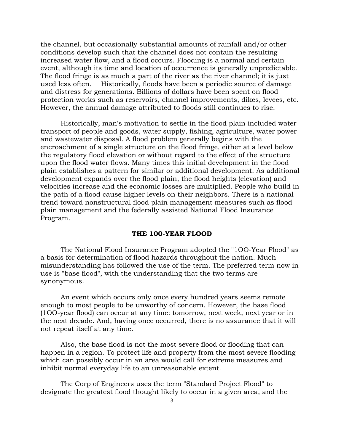the channel, but occasionally substantial amounts of rainfall and/or other conditions develop such that the channel does not contain the resulting increased water flow, and a flood occurs. Flooding is a normal and certain event, although its time and location of occurrence is generally unpredictable. The flood fringe is as much a part of the river as the river channel; it is just used less often. Historically, floods have been a periodic source of damage and distress for generations. Billions of dollars have been spent on flood protection works such as reservoirs, channel improvements, dikes, levees, etc. However, the annual damage attributed to floods still continues to rise.

Historically, man's motivation to settle in the flood plain included water transport of people and goods, water supply, fishing, agriculture, water power and wastewater disposal. A flood problem generally begins with the encroachment of a single structure on the flood fringe, either at a level below the regulatory flood elevation or without regard to the effect of the structure upon the flood water flows. Many times this initial development in the flood plain establishes a pattern for similar or additional development. As additional development expands over the flood plain, the flood heights (elevation) and velocities increase and the economic losses are multiplied. People who build in the path of a flood cause higher levels on their neighbors. There is a national trend toward nonstructural flood plain management measures such as flood plain management and the federally assisted National Flood Insurance Program.

## **THE 100-YEAR FLOOD**

The National Flood Insurance Program adopted the "1OO-Year Flood" as a basis for determination of flood hazards throughout the nation. Much misunderstanding has followed the use of the term. The preferred term now in use is "base flood", with the understanding that the two terms are synonymous.

An event which occurs only once every hundred years seems remote enough to most people to be unworthy of concern. However, the base flood (1OO-year flood) can occur at any time: tomorrow, next week, next year or in the next decade. And, having once occurred, there is no assurance that it will not repeat itself at any time.

Also, the base flood is not the most severe flood or flooding that can happen in a region. To protect life and property from the most severe flooding which can possibly occur in an area would call for extreme measures and inhibit normal everyday life to an unreasonable extent.

The Corp of Engineers uses the term "Standard Project Flood" to designate the greatest flood thought likely to occur in a given area, and the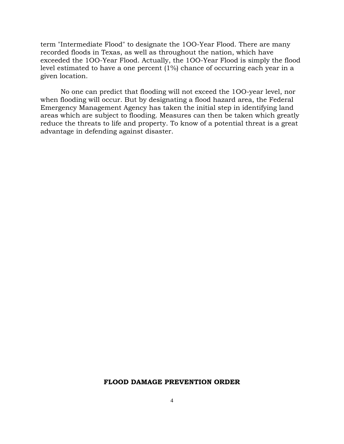term "Intermediate Flood" to designate the 1OO-Year Flood. There are many recorded floods in Texas, as well as throughout the nation, which have exceeded the 1OO-Year Flood. Actually, the 1OO-Year Flood is simply the flood level estimated to have a one percent (1%) chance of occurring each year in a given location.

No one can predict that flooding will not exceed the 1OO-year level, nor when flooding will occur. But by designating a flood hazard area, the Federal Emergency Management Agency has taken the initial step in identifying land areas which are subject to flooding. Measures can then be taken which greatly reduce the threats to life and property. To know of a potential threat is a great advantage in defending against disaster.

#### **FLOOD DAMAGE PREVENTION ORDER**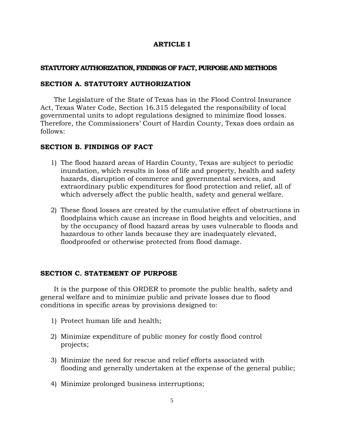# **ARTICLE I**

## **STATUTORY AUTHORIZATION, FINDINGS OF FACT, PURPOSE AND METHODS**

## **SECTION A. STATUTORY AUTHORIZATION**

The Legislature of the State of Texas has in the Flood Control Insurance Act, Texas Water Code, Section 16.315 delegated the responsibility of local governmental units to adopt regulations designed to minimize flood losses. Therefore, the Commissioners' Court of Hardin County, Texas does ordain as follows:

# **SECTION B. FINDINGS OF FACT**

- 1) The flood hazard areas of Hardin County, Texas are subject to periodic inundation, which results in loss of life and property, health and safety hazards, disruption of commerce and governmental services, and extraordinary public expenditures for flood protection and relief, all of which adversely affect the public health, safety and general welfare.
- 2) These flood losses are created by the cumulative effect of obstructions in floodplains which cause an increase in flood heights and velocities, and by the occupancy of flood hazard areas by uses vulnerable to floods and hazardous to other lands because they are inadequately elevated, floodproofed or otherwise protected from flood damage.

#### **SECTION C. STATEMENT OF PURPOSE**

It is the purpose of this ORDER to promote the public health, safety and general welfare and to minimize public and private losses due to flood conditions in specific areas by provisions designed to:

- 1) Protect human life and health;
- 2) Minimize expenditure of public money for costly flood control projects;
- 3) Minimize the need for rescue and relief efforts associated with flooding and generally undertaken at the expense of the general public;
- 4) Minimize prolonged business interruptions;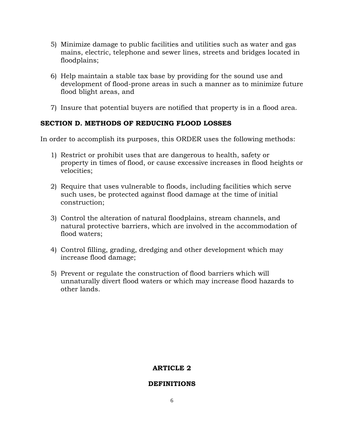- 5) Minimize damage to public facilities and utilities such as water and gas mains, electric, telephone and sewer lines, streets and bridges located in floodplains;
- 6) Help maintain a stable tax base by providing for the sound use and development of flood-prone areas in such a manner as to minimize future flood blight areas, and
- 7) Insure that potential buyers are notified that property is in a flood area.

# **SECTION D. METHODS OF REDUCING FLOOD LOSSES**

In order to accomplish its purposes, this ORDER uses the following methods:

- 1) Restrict or prohibit uses that are dangerous to health, safety or property in times of flood, or cause excessive increases in flood heights or velocities;
- 2) Require that uses vulnerable to floods, including facilities which serve such uses, be protected against flood damage at the time of initial construction;
- 3) Control the alteration of natural floodplains, stream channels, and natural protective barriers, which are involved in the accommodation of flood waters;
- 4) Control filling, grading, dredging and other development which may increase flood damage;
- 5) Prevent or regulate the construction of flood barriers which will unnaturally divert flood waters or which may increase flood hazards to other lands.

# **ARTICLE 2**

# **DEFINITIONS**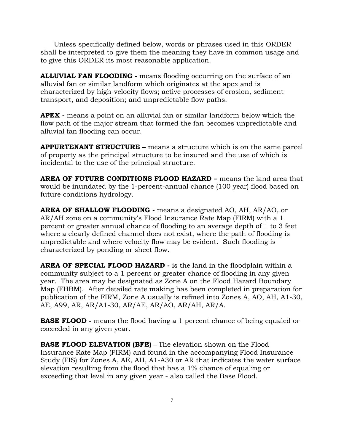Unless specifically defined below, words or phrases used in this ORDER shall be interpreted to give them the meaning they have in common usage and to give this ORDER its most reasonable application.

**ALLUVIAL FAN FLOODING -** means flooding occurring on the surface of an alluvial fan or similar landform which originates at the apex and is characterized by high-velocity flows; active processes of erosion, sediment transport, and deposition; and unpredictable flow paths.

**APEX -** means a point on an alluvial fan or similar landform below which the flow path of the major stream that formed the fan becomes unpredictable and alluvial fan flooding can occur.

**APPURTENANT STRUCTURE –** means a structure which is on the same parcel of property as the principal structure to be insured and the use of which is incidental to the use of the principal structure.

**AREA OF FUTURE CONDITIONS FLOOD HAZARD –** means the land area that would be inundated by the 1-percent-annual chance (100 year) flood based on future conditions hydrology.

**AREA OF SHALLOW FLOODING -** means a designated AO, AH, AR/AO, or AR/AH zone on a community's Flood Insurance Rate Map (FIRM) with a 1 percent or greater annual chance of flooding to an average depth of 1 to 3 feet where a clearly defined channel does not exist, where the path of flooding is unpredictable and where velocity flow may be evident. Such flooding is characterized by ponding or sheet flow.

**AREA OF SPECIAL FLOOD HAZARD -** is the land in the floodplain within a community subject to a 1 percent or greater chance of flooding in any given year. The area may be designated as Zone A on the Flood Hazard Boundary Map (FHBM). After detailed rate making has been completed in preparation for publication of the FIRM, Zone A usually is refined into Zones A, AO, AH, A1-30, AE, A99, AR, AR/A1-30, AR/AE, AR/AO, AR/AH, AR/A.

**BASE FLOOD -** means the flood having a 1 percent chance of being equaled or exceeded in any given year.

**BASE FLOOD ELEVATION (BFE)** – The elevation shown on the Flood Insurance Rate Map (FIRM) and found in the accompanying Flood Insurance Study (FIS) for Zones A, AE, AH, A1-A30 or AR that indicates the water surface elevation resulting from the flood that has a 1% chance of equaling or exceeding that level in any given year - also called the Base Flood.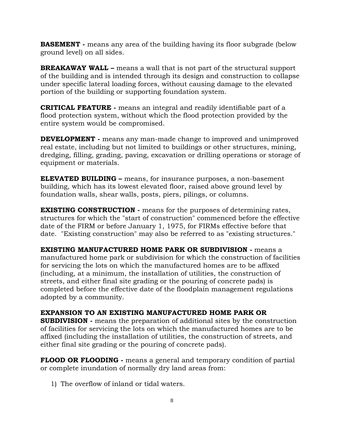**BASEMENT -** means any area of the building having its floor subgrade (below ground level) on all sides.

**BREAKAWAY WALL –** means a wall that is not part of the structural support of the building and is intended through its design and construction to collapse under specific lateral loading forces, without causing damage to the elevated portion of the building or supporting foundation system.

**CRITICAL FEATURE -** means an integral and readily identifiable part of a flood protection system, without which the flood protection provided by the entire system would be compromised.

**DEVELOPMENT -** means any man-made change to improved and unimproved real estate, including but not limited to buildings or other structures, mining, dredging, filling, grading, paving, excavation or drilling operations or storage of equipment or materials.

**ELEVATED BUILDING –** means, for insurance purposes, a non-basement building, which has its lowest elevated floor, raised above ground level by foundation walls, shear walls, posts, piers, pilings, or columns.

**EXISTING CONSTRUCTION -** means for the purposes of determining rates, structures for which the "start of construction" commenced before the effective date of the FIRM or before January 1, 1975, for FIRMs effective before that date. "Existing construction" may also be referred to as "existing structures."

**EXISTING MANUFACTURED HOME PARK OR SUBDIVISION -** means a manufactured home park or subdivision for which the construction of facilities for servicing the lots on which the manufactured homes are to be affixed (including, at a minimum, the installation of utilities, the construction of streets, and either final site grading or the pouring of concrete pads) is completed before the effective date of the floodplain management regulations adopted by a community.

**EXPANSION TO AN EXISTING MANUFACTURED HOME PARK OR SUBDIVISION -** means the preparation of additional sites by the construction of facilities for servicing the lots on which the manufactured homes are to be affixed (including the installation of utilities, the construction of streets, and either final site grading or the pouring of concrete pads).

**FLOOD OR FLOODING -** means a general and temporary condition of partial or complete inundation of normally dry land areas from:

1) The overflow of inland or tidal waters.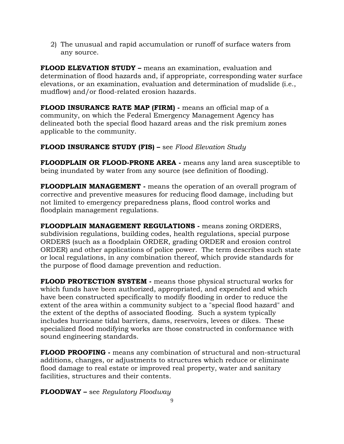2) The unusual and rapid accumulation or runoff of surface waters from any source.

**FLOOD ELEVATION STUDY –** means an examination, evaluation and determination of flood hazards and, if appropriate, corresponding water surface elevations, or an examination, evaluation and determination of mudslide (i.e., mudflow) and/or flood-related erosion hazards.

**FLOOD INSURANCE RATE MAP (FIRM) -** means an official map of a community, on which the Federal Emergency Management Agency has delineated both the special flood hazard areas and the risk premium zones applicable to the community.

# **FLOOD INSURANCE STUDY (FIS) –** see *Flood Elevation Study*

**FLOODPLAIN OR FLOOD-PRONE AREA -** means any land area susceptible to being inundated by water from any source (see definition of flooding).

**FLOODPLAIN MANAGEMENT -** means the operation of an overall program of corrective and preventive measures for reducing flood damage, including but not limited to emergency preparedness plans, flood control works and floodplain management regulations.

**FLOODPLAIN MANAGEMENT REGULATIONS -** means zoning ORDERS, subdivision regulations, building codes, health regulations, special purpose ORDERS (such as a floodplain ORDER, grading ORDER and erosion control ORDER) and other applications of police power. The term describes such state or local regulations, in any combination thereof, which provide standards for the purpose of flood damage prevention and reduction.

**FLOOD PROTECTION SYSTEM -** means those physical structural works for which funds have been authorized, appropriated, and expended and which have been constructed specifically to modify flooding in order to reduce the extent of the area within a community subject to a "special flood hazard" and the extent of the depths of associated flooding. Such a system typically includes hurricane tidal barriers, dams, reservoirs, levees or dikes. These specialized flood modifying works are those constructed in conformance with sound engineering standards.

**FLOOD PROOFING -** means any combination of structural and non-structural additions, changes, or adjustments to structures which reduce or eliminate flood damage to real estate or improved real property, water and sanitary facilities, structures and their contents.

**FLOODWAY –** see *Regulatory Floodway*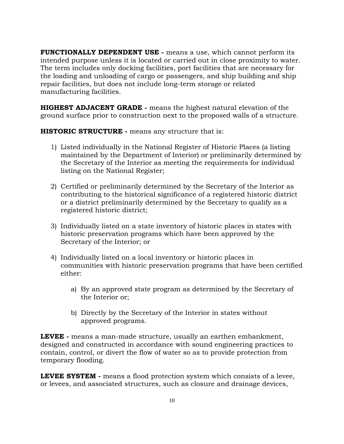**FUNCTIONALLY DEPENDENT USE -** means a use, which cannot perform its intended purpose unless it is located or carried out in close proximity to water. The term includes only docking facilities, port facilities that are necessary for the loading and unloading of cargo or passengers, and ship building and ship repair facilities, but does not include long-term storage or related manufacturing facilities.

**HIGHEST ADJACENT GRADE -** means the highest natural elevation of the ground surface prior to construction next to the proposed walls of a structure.

**HISTORIC STRUCTURE -** means any structure that is:

- 1) Listed individually in the National Register of Historic Places (a listing maintained by the Department of Interior) or preliminarily determined by the Secretary of the Interior as meeting the requirements for individual listing on the National Register;
- 2) Certified or preliminarily determined by the Secretary of the Interior as contributing to the historical significance of a registered historic district or a district preliminarily determined by the Secretary to qualify as a registered historic district;
- 3) Individually listed on a state inventory of historic places in states with historic preservation programs which have been approved by the Secretary of the Interior; or
- 4) Individually listed on a local inventory or historic places in communities with historic preservation programs that have been certified either:
	- a) By an approved state program as determined by the Secretary of the Interior or;
	- b) Directly by the Secretary of the Interior in states without approved programs.

**LEVEE -** means a man-made structure, usually an earthen embankment, designed and constructed in accordance with sound engineering practices to contain, control, or divert the flow of water so as to provide protection from temporary flooding.

**LEVEE SYSTEM -** means a flood protection system which consists of a levee, or levees, and associated structures, such as closure and drainage devices,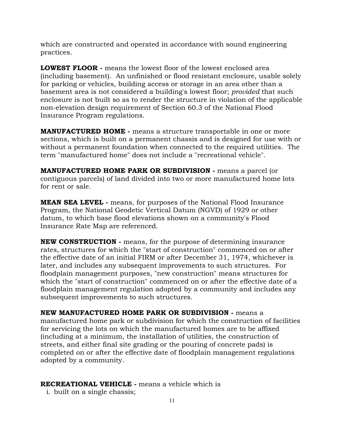which are constructed and operated in accordance with sound engineering practices.

**LOWEST FLOOR -** means the lowest floor of the lowest enclosed area (including basement). An unfinished or flood resistant enclosure, usable solely for parking or vehicles, building access or storage in an area other than a basement area is not considered a building's lowest floor; *provided* that such enclosure is not built so as to render the structure in violation of the applicable non-elevation design requirement of Section 60.3 of the National Flood Insurance Program regulations.

**MANUFACTURED HOME -** means a structure transportable in one or more sections, which is built on a permanent chassis and is designed for use with or without a permanent foundation when connected to the required utilities. The term "manufactured home" does not include a "recreational vehicle".

**MANUFACTURED HOME PARK OR SUBDIVISION -** means a parcel (or contiguous parcels) of land divided into two or more manufactured home lots for rent or sale.

**MEAN SEA LEVEL -** means, for purposes of the National Flood Insurance Program, the National Geodetic Vertical Datum (NGVD) of 1929 or other datum, to which base flood elevations shown on a community's Flood Insurance Rate Map are referenced.

**NEW CONSTRUCTION -** means, for the purpose of determining insurance rates, structures for which the "start of construction" commenced on or after the effective date of an initial FIRM or after December 31, 1974, whichever is later, and includes any subsequent improvements to such structures. For floodplain management purposes, "new construction" means structures for which the "start of construction" commenced on or after the effective date of a floodplain management regulation adopted by a community and includes any subsequent improvements to such structures.

**NEW MANUFACTURED HOME PARK OR SUBDIVISION -** means a manufactured home park or subdivision for which the construction of facilities for servicing the lots on which the manufactured homes are to be affixed (including at a minimum, the installation of utilities, the construction of streets, and either final site grading or the pouring of concrete pads) is completed on or after the effective date of floodplain management regulations adopted by a community.

# **RECREATIONAL VEHICLE -** means a vehicle which is

i. built on a single chassis;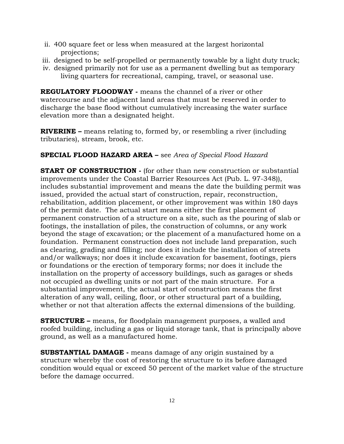- ii. 400 square feet or less when measured at the largest horizontal projections;
- iii. designed to be self-propelled or permanently towable by a light duty truck;
- iv. designed primarily not for use as a permanent dwelling but as temporary living quarters for recreational, camping, travel, or seasonal use.

**REGULATORY FLOODWAY -** means the channel of a river or other watercourse and the adjacent land areas that must be reserved in order to discharge the base flood without cumulatively increasing the water surface elevation more than a designated height.

**RIVERINE –** means relating to, formed by, or resembling a river (including tributaries), stream, brook, etc.

# **SPECIAL FLOOD HAZARD AREA –** see *Area of Special Flood Hazard*

**START OF CONSTRUCTION -** (for other than new construction or substantial improvements under the Coastal Barrier Resources Act (Pub. L. 97-348)), includes substantial improvement and means the date the building permit was issued, provided the actual start of construction, repair, reconstruction, rehabilitation, addition placement, or other improvement was within 180 days of the permit date. The actual start means either the first placement of permanent construction of a structure on a site, such as the pouring of slab or footings, the installation of piles, the construction of columns, or any work beyond the stage of excavation; or the placement of a manufactured home on a foundation. Permanent construction does not include land preparation, such as clearing, grading and filling; nor does it include the installation of streets and/or walkways; nor does it include excavation for basement, footings, piers or foundations or the erection of temporary forms; nor does it include the installation on the property of accessory buildings, such as garages or sheds not occupied as dwelling units or not part of the main structure. For a substantial improvement, the actual start of construction means the first alteration of any wall, ceiling, floor, or other structural part of a building, whether or not that alteration affects the external dimensions of the building.

**STRUCTURE –** means, for floodplain management purposes, a walled and roofed building, including a gas or liquid storage tank, that is principally above ground, as well as a manufactured home.

**SUBSTANTIAL DAMAGE -** means damage of any origin sustained by a structure whereby the cost of restoring the structure to its before damaged condition would equal or exceed 50 percent of the market value of the structure before the damage occurred.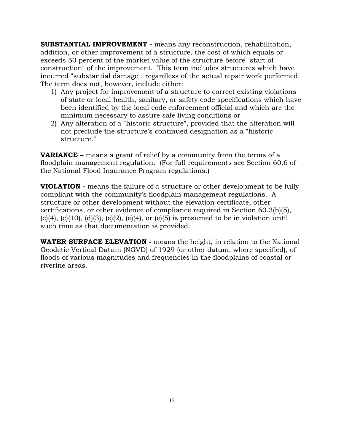**SUBSTANTIAL IMPROVEMENT -** means any reconstruction, rehabilitation, addition, or other improvement of a structure, the cost of which equals or exceeds 50 percent of the market value of the structure before "start of construction" of the improvement. This term includes structures which have incurred "substantial damage", regardless of the actual repair work performed. The term does not, however, include either:

- 1) Any project for improvement of a structure to correct existing violations of state or local health, sanitary, or safety code specifications which have been identified by the local code enforcement official and which are the minimum necessary to assure safe living conditions or
- 2) Any alteration of a "historic structure", provided that the alteration will not preclude the structure's continued designation as a "historic structure."

**VARIANCE –** means a grant of relief by a community from the terms of a floodplain management regulation. (For full requirements see Section 60.6 of the National Flood Insurance Program regulations.)

**VIOLATION -** means the failure of a structure or other development to be fully compliant with the community's floodplain management regulations. A structure or other development without the elevation certificate, other certifications, or other evidence of compliance required in Section 60.3(b)(5), (c)(4), (c)(10), (d)(3), (e)(2), (e)(4), or (e)(5) is presumed to be in violation until such time as that documentation is provided.

**WATER SURFACE ELEVATION -** means the height, in relation to the National Geodetic Vertical Datum (NGVD) of 1929 (or other datum, where specified), of floods of various magnitudes and frequencies in the floodplains of coastal or riverine areas.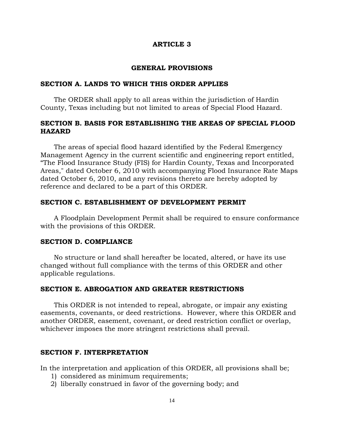#### **ARTICLE 3**

#### **GENERAL PROVISIONS**

## **SECTION A. LANDS TO WHICH THIS ORDER APPLIES**

The ORDER shall apply to all areas within the jurisdiction of Hardin County, Texas including but not limited to areas of Special Flood Hazard.

# **SECTION B. BASIS FOR ESTABLISHING THE AREAS OF SPECIAL FLOOD HAZARD**

The areas of special flood hazard identified by the Federal Emergency Management Agency in the current scientific and engineering report entitled, "The Flood Insurance Study (FIS) for Hardin County, Texas and Incorporated Areas," dated October 6, 2010 with accompanying Flood Insurance Rate Maps dated October 6, 2010, and any revisions thereto are hereby adopted by reference and declared to be a part of this ORDER.

#### **SECTION C. ESTABLISHMENT OF DEVELOPMENT PERMIT**

A Floodplain Development Permit shall be required to ensure conformance with the provisions of this ORDER.

## **SECTION D. COMPLIANCE**

No structure or land shall hereafter be located, altered, or have its use changed without full compliance with the terms of this ORDER and other applicable regulations.

#### **SECTION E. ABROGATION AND GREATER RESTRICTIONS**

This ORDER is not intended to repeal, abrogate, or impair any existing easements, covenants, or deed restrictions. However, where this ORDER and another ORDER, easement, covenant, or deed restriction conflict or overlap, whichever imposes the more stringent restrictions shall prevail.

## **SECTION F. INTERPRETATION**

In the interpretation and application of this ORDER, all provisions shall be;

- 1) considered as minimum requirements;
- 2) liberally construed in favor of the governing body; and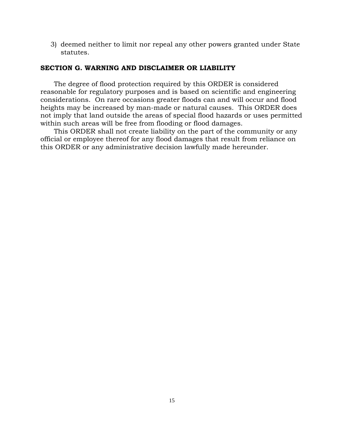3) deemed neither to limit nor repeal any other powers granted under State statutes.

# **SECTION G. WARNING AND DISCLAIMER OR LIABILITY**

The degree of flood protection required by this ORDER is considered reasonable for regulatory purposes and is based on scientific and engineering considerations. On rare occasions greater floods can and will occur and flood heights may be increased by man-made or natural causes. This ORDER does not imply that land outside the areas of special flood hazards or uses permitted within such areas will be free from flooding or flood damages.

This ORDER shall not create liability on the part of the community or any official or employee thereof for any flood damages that result from reliance on this ORDER or any administrative decision lawfully made hereunder.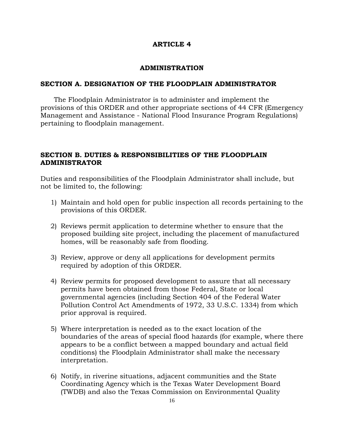## **ARTICLE 4**

#### **ADMINISTRATION**

## **SECTION A. DESIGNATION OF THE FLOODPLAIN ADMINISTRATOR**

The Floodplain Administrator is to administer and implement the provisions of this ORDER and other appropriate sections of 44 CFR (Emergency Management and Assistance - National Flood Insurance Program Regulations) pertaining to floodplain management.

# **SECTION B. DUTIES & RESPONSIBILITIES OF THE FLOODPLAIN ADMINISTRATOR**

Duties and responsibilities of the Floodplain Administrator shall include, but not be limited to, the following:

- 1) Maintain and hold open for public inspection all records pertaining to the provisions of this ORDER.
- 2) Reviews permit application to determine whether to ensure that the proposed building site project, including the placement of manufactured homes, will be reasonably safe from flooding.
- 3) Review, approve or deny all applications for development permits required by adoption of this ORDER.
- 4) Review permits for proposed development to assure that all necessary permits have been obtained from those Federal, State or local governmental agencies (including Section 404 of the Federal Water Pollution Control Act Amendments of 1972, 33 U.S.C. 1334) from which prior approval is required.
- 5) Where interpretation is needed as to the exact location of the boundaries of the areas of special flood hazards (for example, where there appears to be a conflict between a mapped boundary and actual field conditions) the Floodplain Administrator shall make the necessary interpretation.
- 6) Notify, in riverine situations, adjacent communities and the State Coordinating Agency which is the Texas Water Development Board (TWDB) and also the Texas Commission on Environmental Quality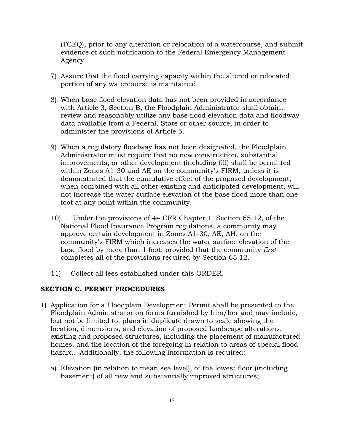(TCEQ), prior to any alteration or relocation of a watercourse, and submit evidence of such notification to the Federal Emergency Management Agency.

- 7) Assure that the flood carrying capacity within the altered or relocated portion of any watercourse is maintained.
- 8) When base flood elevation data has not been provided in accordance with Article 3, Section B, the Floodplain Administrator shall obtain, review and reasonably utilize any base flood elevation data and floodway data available from a Federal, State or other source, in order to administer the provisions of Article 5.
- 9) When a regulatory floodway has not been designated, the Floodplain Administrator must require that no new construction, substantial improvements, or other development (including fill) shall be permitted within Zones A1-30 and AE on the community's FIRM, unless it is demonstrated that the cumulative effect of the proposed development, when combined with all other existing and anticipated development, will not increase the water surface elevation of the base flood more than one foot at any point within the community.
- 10) Under the provisions of 44 CFR Chapter 1, Section 65.12, of the National Flood Insurance Program regulations, a community may approve certain development in Zones A1-30, AE, AH, on the community's FIRM which increases the water surface elevation of the base flood by more than 1 foot, provided that the community *first* completes all of the provisions required by Section 65.12.
- 11) Collect all fees established under this ORDER.

#### **SECTION C. PERMIT PROCEDURES**

- 1) Application for a Floodplain Development Permit shall be presented to the Floodplain Administrator on forms furnished by him/her and may include, but not be limited to, plans in duplicate drawn to scale showing the location, dimensions, and elevation of proposed landscape alterations, existing and proposed structures, including the placement of manufactured homes, and the location of the foregoing in relation to areas of special flood hazard. Additionally, the following information is required:
	- a) Elevation (in relation to mean sea level), of the lowest floor (including basement) of all new and substantially improved structures;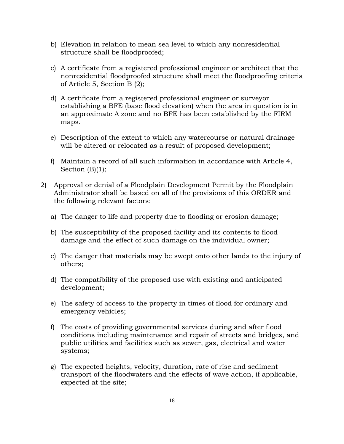- b) Elevation in relation to mean sea level to which any nonresidential structure shall be floodproofed;
- c) A certificate from a registered professional engineer or architect that the nonresidential floodproofed structure shall meet the floodproofing criteria of Article 5, Section B (2);
- d) A certificate from a registered professional engineer or surveyor establishing a BFE (base flood elevation) when the area in question is in an approximate A zone and no BFE has been established by the FIRM maps.
- e) Description of the extent to which any watercourse or natural drainage will be altered or relocated as a result of proposed development;
- f) Maintain a record of all such information in accordance with Article 4, Section  $(B)(1)$ ;
- 2) Approval or denial of a Floodplain Development Permit by the Floodplain Administrator shall be based on all of the provisions of this ORDER and the following relevant factors:
	- a) The danger to life and property due to flooding or erosion damage;
	- b) The susceptibility of the proposed facility and its contents to flood damage and the effect of such damage on the individual owner;
	- c) The danger that materials may be swept onto other lands to the injury of others;
	- d) The compatibility of the proposed use with existing and anticipated development;
	- e) The safety of access to the property in times of flood for ordinary and emergency vehicles;
	- f) The costs of providing governmental services during and after flood conditions including maintenance and repair of streets and bridges, and public utilities and facilities such as sewer, gas, electrical and water systems;
	- g) The expected heights, velocity, duration, rate of rise and sediment transport of the floodwaters and the effects of wave action, if applicable, expected at the site;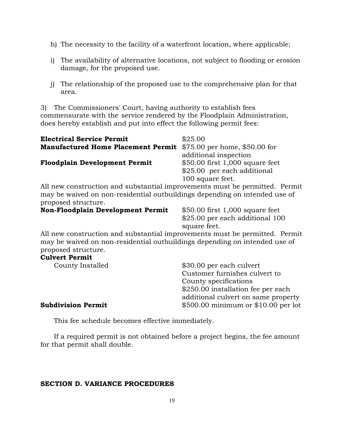- h) The necessity to the facility of a waterfront location, where applicable;
- i) The availability of alternative locations, not subject to flooding or erosion damage, for the proposed use.
- j) The relationship of the proposed use to the comprehensive plan for that area.

3) The Commissioners' Court, having authority to establish fees commensurate with the service rendered by the Floodplain Administration, does hereby establish and put into effect the following permit fees:

| <b>Electrical Service Permit</b>                                 | \$25.00                          |
|------------------------------------------------------------------|----------------------------------|
| Manufactured Home Placement Permit \$75.00 per home, \$50.00 for |                                  |
|                                                                  | additional inspection            |
| <b>Floodplain Development Permit</b>                             | $$50.00$ first 1,000 square feet |
|                                                                  | \$25.00 per each additional      |
|                                                                  | 100 square feet.                 |

All new construction and substantial improvements must be permitted. Permit may be waived on non-residential outbuildings depending on intended use of proposed structure.

# **Non-Floodplain Development Permit** \$50.00 first 1,000 square feet

\$25.00 per each additional 100 square feet.

All new construction and substantial improvements must be permitted. Permit may be waived on non-residential outbuildings depending on intended use of proposed structure.

## **Culvert Permit**

| County Installed          | \$30.00 per each culvert            |
|---------------------------|-------------------------------------|
|                           | Customer furnishes culvert to       |
|                           | County specifications               |
|                           | \$250.00 installation fee per each  |
|                           | additional culvert on same property |
| <b>Subdivision Permit</b> | \$500.00 minimum or \$10.00 per lot |

This fee schedule becomes effective immediately.

If a required permit is not obtained before a project begins, the fee amount for that permit shall double.

#### **SECTION D. VARIANCE PROCEDURES**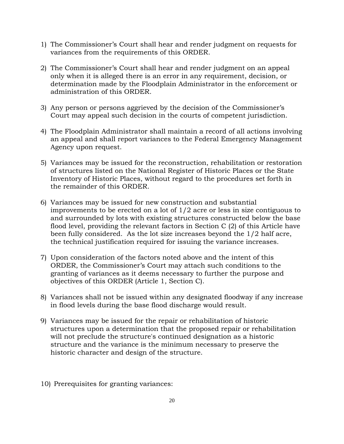- 1) The Commissioner's Court shall hear and render judgment on requests for variances from the requirements of this ORDER.
- 2) The Commissioner's Court shall hear and render judgment on an appeal only when it is alleged there is an error in any requirement, decision, or determination made by the Floodplain Administrator in the enforcement or administration of this ORDER.
- 3) Any person or persons aggrieved by the decision of the Commissioner's Court may appeal such decision in the courts of competent jurisdiction.
- 4) The Floodplain Administrator shall maintain a record of all actions involving an appeal and shall report variances to the Federal Emergency Management Agency upon request.
- 5) Variances may be issued for the reconstruction, rehabilitation or restoration of structures listed on the National Register of Historic Places or the State Inventory of Historic Places, without regard to the procedures set forth in the remainder of this ORDER.
- 6) Variances may be issued for new construction and substantial improvements to be erected on a lot of 1/2 acre or less in size contiguous to and surrounded by lots with existing structures constructed below the base flood level, providing the relevant factors in Section C (2) of this Article have been fully considered. As the lot size increases beyond the 1/2 half acre, the technical justification required for issuing the variance increases.
- 7) Upon consideration of the factors noted above and the intent of this ORDER, the Commissioner's Court may attach such conditions to the granting of variances as it deems necessary to further the purpose and objectives of this ORDER (Article 1, Section C).
- 8) Variances shall not be issued within any designated floodway if any increase in flood levels during the base flood discharge would result.
- 9) Variances may be issued for the repair or rehabilitation of historic structures upon a determination that the proposed repair or rehabilitation will not preclude the structure's continued designation as a historic structure and the variance is the minimum necessary to preserve the historic character and design of the structure.
- 10) Prerequisites for granting variances: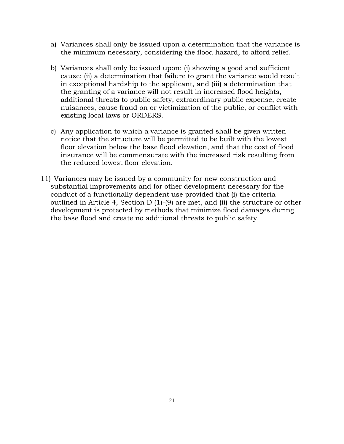- a) Variances shall only be issued upon a determination that the variance is the minimum necessary, considering the flood hazard, to afford relief.
- b) Variances shall only be issued upon: (i) showing a good and sufficient cause; (ii) a determination that failure to grant the variance would result in exceptional hardship to the applicant, and (iii) a determination that the granting of a variance will not result in increased flood heights, additional threats to public safety, extraordinary public expense, create nuisances, cause fraud on or victimization of the public, or conflict with existing local laws or ORDERS.
- c) Any application to which a variance is granted shall be given written notice that the structure will be permitted to be built with the lowest floor elevation below the base flood elevation, and that the cost of flood insurance will be commensurate with the increased risk resulting from the reduced lowest floor elevation.
- 11) Variances may be issued by a community for new construction and substantial improvements and for other development necessary for the conduct of a functionally dependent use provided that (i) the criteria outlined in Article 4, Section D (1)-(9) are met, and (ii) the structure or other development is protected by methods that minimize flood damages during the base flood and create no additional threats to public safety.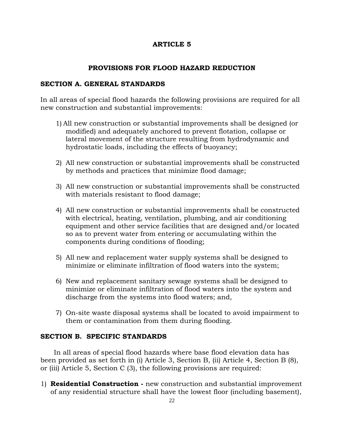# **ARTICLE 5**

# **PROVISIONS FOR FLOOD HAZARD REDUCTION**

## **SECTION A. GENERAL STANDARDS**

In all areas of special flood hazards the following provisions are required for all new construction and substantial improvements:

- 1) All new construction or substantial improvements shall be designed (or modified) and adequately anchored to prevent flotation, collapse or lateral movement of the structure resulting from hydrodynamic and hydrostatic loads, including the effects of buoyancy;
- 2) All new construction or substantial improvements shall be constructed by methods and practices that minimize flood damage;
- 3) All new construction or substantial improvements shall be constructed with materials resistant to flood damage;
- 4) All new construction or substantial improvements shall be constructed with electrical, heating, ventilation, plumbing, and air conditioning equipment and other service facilities that are designed and/or located so as to prevent water from entering or accumulating within the components during conditions of flooding;
- 5) All new and replacement water supply systems shall be designed to minimize or eliminate infiltration of flood waters into the system;
- 6) New and replacement sanitary sewage systems shall be designed to minimize or eliminate infiltration of flood waters into the system and discharge from the systems into flood waters; and,
- 7) On-site waste disposal systems shall be located to avoid impairment to them or contamination from them during flooding.

## **SECTION B. SPECIFIC STANDARDS**

In all areas of special flood hazards where base flood elevation data has been provided as set forth in (i) Article 3, Section B, (ii) Article 4, Section B (8), or (iii) Article 5, Section C (3), the following provisions are required:

1) **Residential Construction -** new construction and substantial improvement of any residential structure shall have the lowest floor (including basement),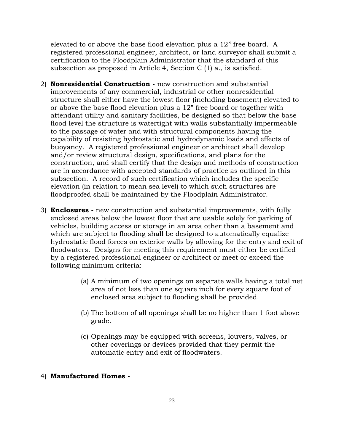elevated to or above the base flood elevation plus a 12'' free board. A registered professional engineer, architect, or land surveyor shall submit a certification to the Floodplain Administrator that the standard of this subsection as proposed in Article 4, Section C (1) a., is satisfied.

- 2) **Nonresidential Construction -** new construction and substantial improvements of any commercial, industrial or other nonresidential structure shall either have the lowest floor (including basement) elevated to or above the base flood elevation plus a 12" free board or together with attendant utility and sanitary facilities, be designed so that below the base flood level the structure is watertight with walls substantially impermeable to the passage of water and with structural components having the capability of resisting hydrostatic and hydrodynamic loads and effects of buoyancy. A registered professional engineer or architect shall develop and/or review structural design, specifications, and plans for the construction, and shall certify that the design and methods of construction are in accordance with accepted standards of practice as outlined in this subsection. A record of such certification which includes the specific elevation (in relation to mean sea level) to which such structures are floodproofed shall be maintained by the Floodplain Administrator.
- 3) **Enclosures -** new construction and substantial improvements, with fully enclosed areas below the lowest floor that are usable solely for parking of vehicles, building access or storage in an area other than a basement and which are subject to flooding shall be designed to automatically equalize hydrostatic flood forces on exterior walls by allowing for the entry and exit of floodwaters. Designs for meeting this requirement must either be certified by a registered professional engineer or architect or meet or exceed the following minimum criteria:
	- (a) A minimum of two openings on separate walls having a total net area of not less than one square inch for every square foot of enclosed area subject to flooding shall be provided.
	- (b) The bottom of all openings shall be no higher than 1 foot above grade.
	- (c) Openings may be equipped with screens, louvers, valves, or other coverings or devices provided that they permit the automatic entry and exit of floodwaters.
- 4) **Manufactured Homes -**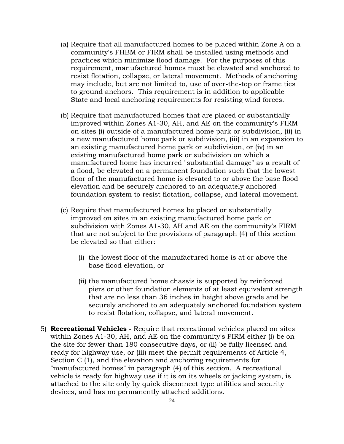- (a) Require that all manufactured homes to be placed within Zone A on a community's FHBM or FIRM shall be installed using methods and practices which minimize flood damage. For the purposes of this requirement, manufactured homes must be elevated and anchored to resist flotation, collapse, or lateral movement. Methods of anchoring may include, but are not limited to, use of over-the-top or frame ties to ground anchors. This requirement is in addition to applicable State and local anchoring requirements for resisting wind forces.
- (b) Require that manufactured homes that are placed or substantially improved within Zones A1-30, AH, and AE on the community's FIRM on sites (i) outside of a manufactured home park or subdivision, (ii) in a new manufactured home park or subdivision, (iii) in an expansion to an existing manufactured home park or subdivision, or (iv) in an existing manufactured home park or subdivision on which a manufactured home has incurred "substantial damage" as a result of a flood, be elevated on a permanent foundation such that the lowest floor of the manufactured home is elevated to or above the base flood elevation and be securely anchored to an adequately anchored foundation system to resist flotation, collapse, and lateral movement.
- (c) Require that manufactured homes be placed or substantially improved on sites in an existing manufactured home park or subdivision with Zones A1-30, AH and AE on the community's FIRM that are not subject to the provisions of paragraph (4) of this section be elevated so that either:
	- (i) the lowest floor of the manufactured home is at or above the base flood elevation, or
	- (ii) the manufactured home chassis is supported by reinforced piers or other foundation elements of at least equivalent strength that are no less than 36 inches in height above grade and be securely anchored to an adequately anchored foundation system to resist flotation, collapse, and lateral movement.
- 5) **Recreational Vehicles -** Require that recreational vehicles placed on sites within Zones A1-30, AH, and AE on the community's FIRM either (i) be on the site for fewer than 180 consecutive days, or (ii) be fully licensed and ready for highway use, or (iii) meet the permit requirements of Article 4, Section C (1), and the elevation and anchoring requirements for "manufactured homes" in paragraph (4) of this section. A recreational vehicle is ready for highway use if it is on its wheels or jacking system, is attached to the site only by quick disconnect type utilities and security devices, and has no permanently attached additions.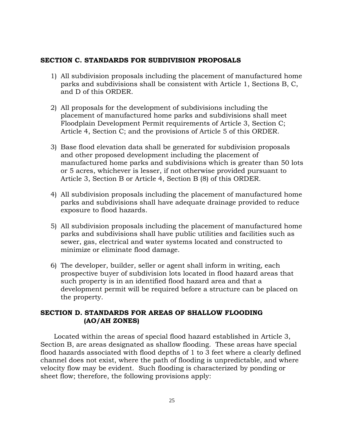## **SECTION C. STANDARDS FOR SUBDIVISION PROPOSALS**

- 1) All subdivision proposals including the placement of manufactured home parks and subdivisions shall be consistent with Article 1, Sections B, C, and D of this ORDER.
- 2) All proposals for the development of subdivisions including the placement of manufactured home parks and subdivisions shall meet Floodplain Development Permit requirements of Article 3, Section C; Article 4, Section C; and the provisions of Article 5 of this ORDER.
- 3) Base flood elevation data shall be generated for subdivision proposals and other proposed development including the placement of manufactured home parks and subdivisions which is greater than 50 lots or 5 acres, whichever is lesser, if not otherwise provided pursuant to Article 3, Section B or Article 4, Section B (8) of this ORDER.
- 4) All subdivision proposals including the placement of manufactured home parks and subdivisions shall have adequate drainage provided to reduce exposure to flood hazards.
- 5) All subdivision proposals including the placement of manufactured home parks and subdivisions shall have public utilities and facilities such as sewer, gas, electrical and water systems located and constructed to minimize or eliminate flood damage.
- 6) The developer, builder, seller or agent shall inform in writing, each prospective buyer of subdivision lots located in flood hazard areas that such property is in an identified flood hazard area and that a development permit will be required before a structure can be placed on the property.

# **SECTION D. STANDARDS FOR AREAS OF SHALLOW FLOODING (AO/AH ZONES)**

Located within the areas of special flood hazard established in Article 3, Section B, are areas designated as shallow flooding. These areas have special flood hazards associated with flood depths of 1 to 3 feet where a clearly defined channel does not exist, where the path of flooding is unpredictable, and where velocity flow may be evident. Such flooding is characterized by ponding or sheet flow; therefore, the following provisions apply: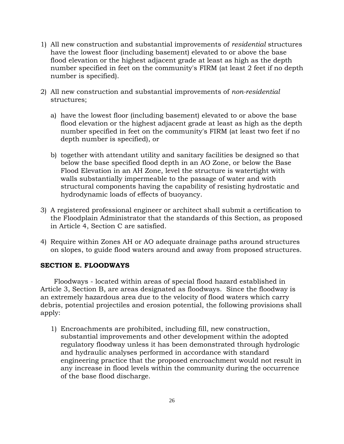- 1) All new construction and substantial improvements of *residential* structures have the lowest floor (including basement) elevated to or above the base flood elevation or the highest adjacent grade at least as high as the depth number specified in feet on the community's FIRM (at least 2 feet if no depth number is specified).
- 2) All new construction and substantial improvements of *non-residential* structures;
	- a) have the lowest floor (including basement) elevated to or above the base flood elevation or the highest adjacent grade at least as high as the depth number specified in feet on the community's FIRM (at least two feet if no depth number is specified), or
	- b) together with attendant utility and sanitary facilities be designed so that below the base specified flood depth in an AO Zone, or below the Base Flood Elevation in an AH Zone, level the structure is watertight with walls substantially impermeable to the passage of water and with structural components having the capability of resisting hydrostatic and hydrodynamic loads of effects of buoyancy.
- 3) A registered professional engineer or architect shall submit a certification to the Floodplain Administrator that the standards of this Section, as proposed in Article 4, Section C are satisfied.
- 4) Require within Zones AH or AO adequate drainage paths around structures on slopes, to guide flood waters around and away from proposed structures.

# **SECTION E. FLOODWAYS**

Floodways - located within areas of special flood hazard established in Article 3, Section B, are areas designated as floodways. Since the floodway is an extremely hazardous area due to the velocity of flood waters which carry debris, potential projectiles and erosion potential, the following provisions shall apply:

1) Encroachments are prohibited, including fill, new construction, substantial improvements and other development within the adopted regulatory floodway unless it has been demonstrated through hydrologic and hydraulic analyses performed in accordance with standard engineering practice that the proposed encroachment would not result in any increase in flood levels within the community during the occurrence of the base flood discharge.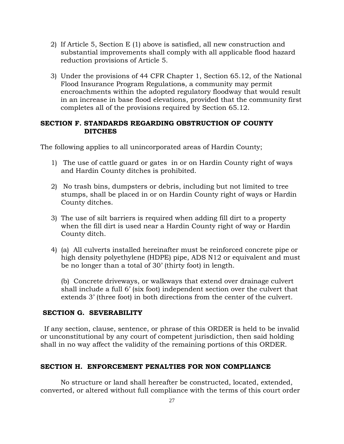- 2) If Article 5, Section E (1) above is satisfied, all new construction and substantial improvements shall comply with all applicable flood hazard reduction provisions of Article 5.
- 3) Under the provisions of 44 CFR Chapter 1, Section 65.12, of the National Flood Insurance Program Regulations, a community may permit encroachments within the adopted regulatory floodway that would result in an increase in base flood elevations, provided that the community first completes all of the provisions required by Section 65.12.

# **SECTION F. STANDARDS REGARDING OBSTRUCTION OF COUNTY DITCHES**

The following applies to all unincorporated areas of Hardin County;

- 1) The use of cattle guard or gates in or on Hardin County right of ways and Hardin County ditches is prohibited.
- 2) No trash bins, dumpsters or debris, including but not limited to tree stumps, shall be placed in or on Hardin County right of ways or Hardin County ditches.
- 3) The use of silt barriers is required when adding fill dirt to a property when the fill dirt is used near a Hardin County right of way or Hardin County ditch.
- 4) (a) All culverts installed hereinafter must be reinforced concrete pipe or high density polyethylene (HDPE) pipe, ADS N12 or equivalent and must be no longer than a total of 30' (thirty foot) in length.

(b) Concrete driveways, or walkways that extend over drainage culvert shall include a full 6' (six foot) independent section over the culvert that extends 3' (three foot) in both directions from the center of the culvert.

# **SECTION G. SEVERABILITY**

If any section, clause, sentence, or phrase of this ORDER is held to be invalid or unconstitutional by any court of competent jurisdiction, then said holding shall in no way affect the validity of the remaining portions of this ORDER.

#### **SECTION H. ENFORCEMENT PENALTIES FOR NON COMPLIANCE**

No structure or land shall hereafter be constructed, located, extended, converted, or altered without full compliance with the terms of this court order